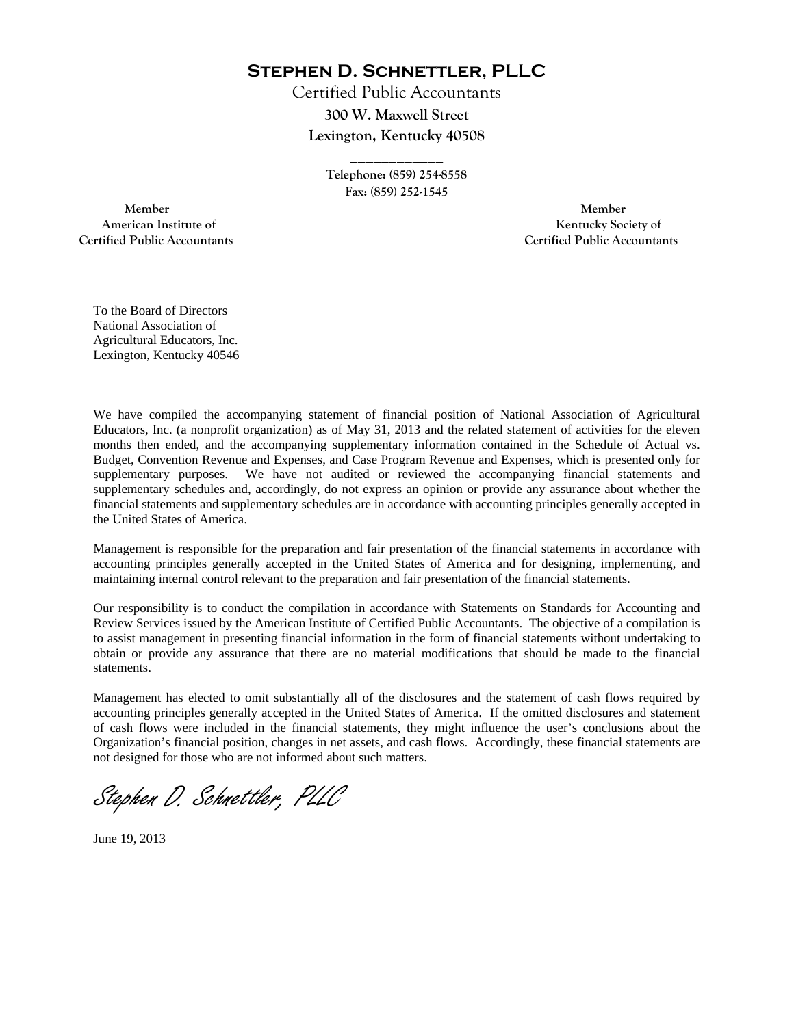**Stephen D. Schnettler, PLLC**

Certified Public Accountants **300 W. Maxwell Street Lexington, Kentucky 40508** 

> **Telephone: (859) 254-8558 Fax: (859) 252-1545**

**\_\_\_\_\_\_\_\_\_\_\_\_** 

 **Member Member Certified Public Accountants Certified Public Accountants** 

American Institute of **Kentucky Society of American Institute of** 

To the Board of Directors National Association of Agricultural Educators, Inc. Lexington, Kentucky 40546

We have compiled the accompanying statement of financial position of National Association of Agricultural Educators, Inc. (a nonprofit organization) as of May 31, 2013 and the related statement of activities for the eleven months then ended, and the accompanying supplementary information contained in the Schedule of Actual vs. Budget, Convention Revenue and Expenses, and Case Program Revenue and Expenses, which is presented only for supplementary purposes. We have not audited or reviewed the accompanying financial statements and supplementary schedules and, accordingly, do not express an opinion or provide any assurance about whether the financial statements and supplementary schedules are in accordance with accounting principles generally accepted in the United States of America.

Management is responsible for the preparation and fair presentation of the financial statements in accordance with accounting principles generally accepted in the United States of America and for designing, implementing, and maintaining internal control relevant to the preparation and fair presentation of the financial statements.

Our responsibility is to conduct the compilation in accordance with Statements on Standards for Accounting and Review Services issued by the American Institute of Certified Public Accountants. The objective of a compilation is to assist management in presenting financial information in the form of financial statements without undertaking to obtain or provide any assurance that there are no material modifications that should be made to the financial statements.

Management has elected to omit substantially all of the disclosures and the statement of cash flows required by accounting principles generally accepted in the United States of America. If the omitted disclosures and statement of cash flows were included in the financial statements, they might influence the user's conclusions about the Organization's financial position, changes in net assets, and cash flows. Accordingly, these financial statements are not designed for those who are not informed about such matters.

Stephen D. Schnettler, PLLC

June 19, 2013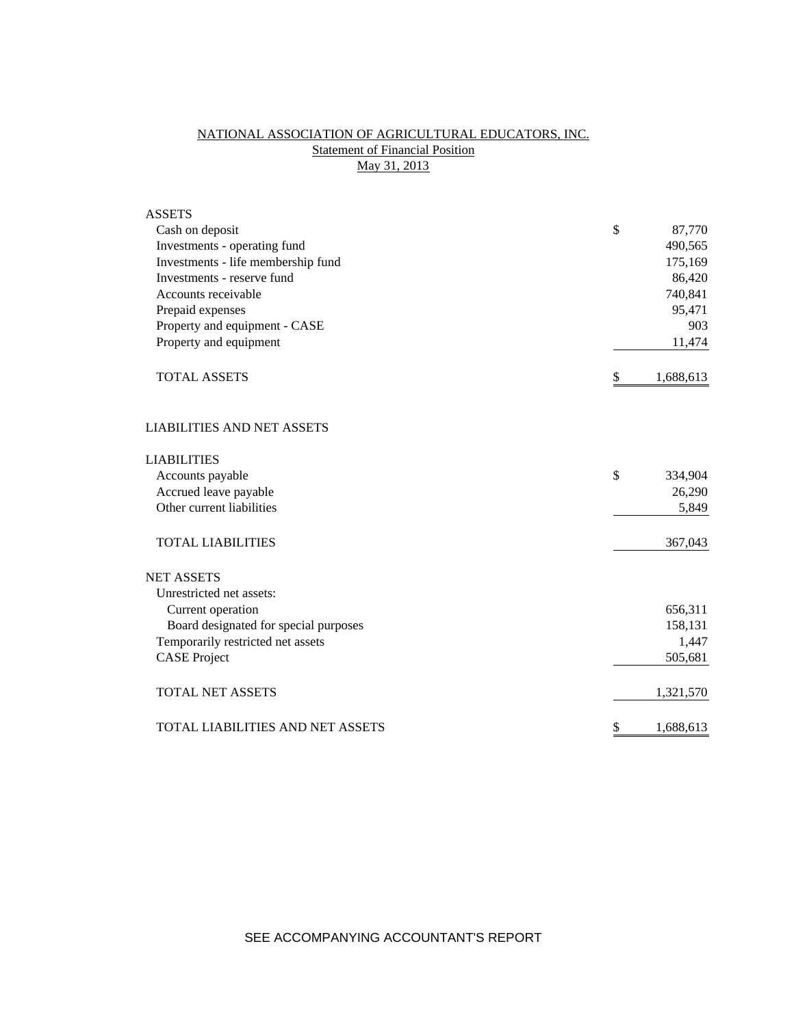## NATIONAL ASSOCIATION OF AGRICULTURAL EDUCATORS, INC. **Statement of Financial Position** May 31, 2013

| <b>ASSETS</b>                         |                 |
|---------------------------------------|-----------------|
| Cash on deposit                       | \$<br>87,770    |
| Investments - operating fund          | 490,565         |
| Investments - life membership fund    | 175,169         |
| Investments - reserve fund            | 86,420          |
| Accounts receivable                   | 740,841         |
| Prepaid expenses                      | 95,471          |
| Property and equipment - CASE         | 903             |
| Property and equipment                | 11,474          |
| <b>TOTAL ASSETS</b>                   | \$<br>1,688,613 |
| <b>LIABILITIES AND NET ASSETS</b>     |                 |
| <b>LIABILITIES</b>                    |                 |
| Accounts payable                      | \$<br>334,904   |
| Accrued leave payable                 | 26,290          |
| Other current liabilities             | 5,849           |
| <b>TOTAL LIABILITIES</b>              | 367,043         |
| <b>NET ASSETS</b>                     |                 |
| Unrestricted net assets:              |                 |
| Current operation                     | 656,311         |
| Board designated for special purposes | 158,131         |
| Temporarily restricted net assets     | 1,447           |
| <b>CASE Project</b>                   | 505,681         |
| <b>TOTAL NET ASSETS</b>               | 1,321,570       |
| TOTAL LIABILITIES AND NET ASSETS      | \$<br>1,688,613 |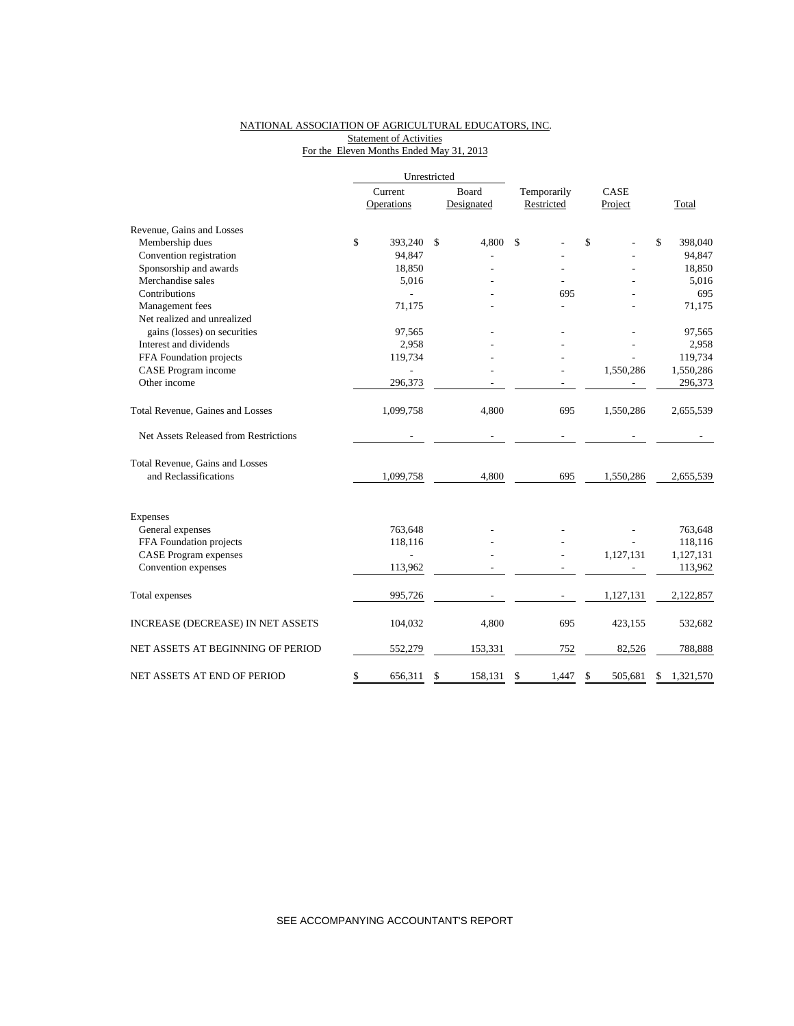### NATIONAL ASSOCIATION OF AGRICULTURAL EDUCATORS, INC. Statement of Activities For the Eleven Months Ended May 31, 2013

|                                       |         | Unrestricted   |               |             |    |           |                 |
|---------------------------------------|---------|----------------|---------------|-------------|----|-----------|-----------------|
|                                       | Current |                | Board         | Temporarily |    | CASE      |                 |
|                                       |         | Operations     | Designated    | Restricted  |    | Project   | Total           |
| Revenue, Gains and Losses             |         |                |               |             |    |           |                 |
| Membership dues                       | \$      | 393,240        | \$<br>4,800   | \$          | \$ |           | \$<br>398,040   |
| Convention registration               |         | 94,847         |               |             |    |           | 94,847          |
| Sponsorship and awards                |         | 18,850         |               |             |    |           | 18,850          |
| Merchandise sales                     |         | 5,016          |               |             |    |           | 5,016           |
| Contributions                         |         |                |               | 695         |    |           | 695             |
| Management fees                       |         | 71,175         |               |             |    |           | 71,175          |
| Net realized and unrealized           |         |                |               |             |    |           |                 |
| gains (losses) on securities          |         | 97,565         |               |             |    |           | 97,565          |
| Interest and dividends                |         | 2,958          |               |             |    |           | 2,958           |
| FFA Foundation projects               |         | 119,734        |               |             |    |           | 119,734         |
| CASE Program income                   |         |                |               |             |    | 1,550,286 | 1,550,286       |
| Other income                          |         | 296,373        |               |             |    |           | 296,373         |
| Total Revenue, Gaines and Losses      |         | 1,099,758      | 4,800         | 695         |    | 1,550,286 | 2,655,539       |
| Net Assets Released from Restrictions |         |                |               |             |    |           |                 |
| Total Revenue, Gains and Losses       |         |                |               |             |    |           |                 |
| and Reclassifications                 |         | 1,099,758      | 4,800         | 695         |    | 1,550,286 | 2,655,539       |
| <b>Expenses</b>                       |         |                |               |             |    |           |                 |
| General expenses                      |         | 763,648        |               |             |    |           | 763,648         |
| FFA Foundation projects               |         | 118,116        |               |             |    |           | 118,116         |
| <b>CASE Program expenses</b>          |         | $\overline{a}$ |               |             |    | 1,127,131 | 1,127,131       |
| Convention expenses                   |         | 113,962        |               |             |    |           | 113,962         |
|                                       |         |                |               |             |    |           |                 |
| Total expenses                        |         | 995,726        |               |             |    | 1,127,131 | 2,122,857       |
| INCREASE (DECREASE) IN NET ASSETS     |         | 104,032        | 4,800         | 695         |    | 423,155   | 532,682         |
| NET ASSETS AT BEGINNING OF PERIOD     |         | 552,279        | 153,331       | 752         |    | 82,526    | 788,888         |
| NET ASSETS AT END OF PERIOD           | \$      | 656,311        | \$<br>158,131 | \$<br>1.447 | \$ | 505.681   | \$<br>1,321,570 |

SEE ACCOMPANYING ACCOUNTANT'S REPORT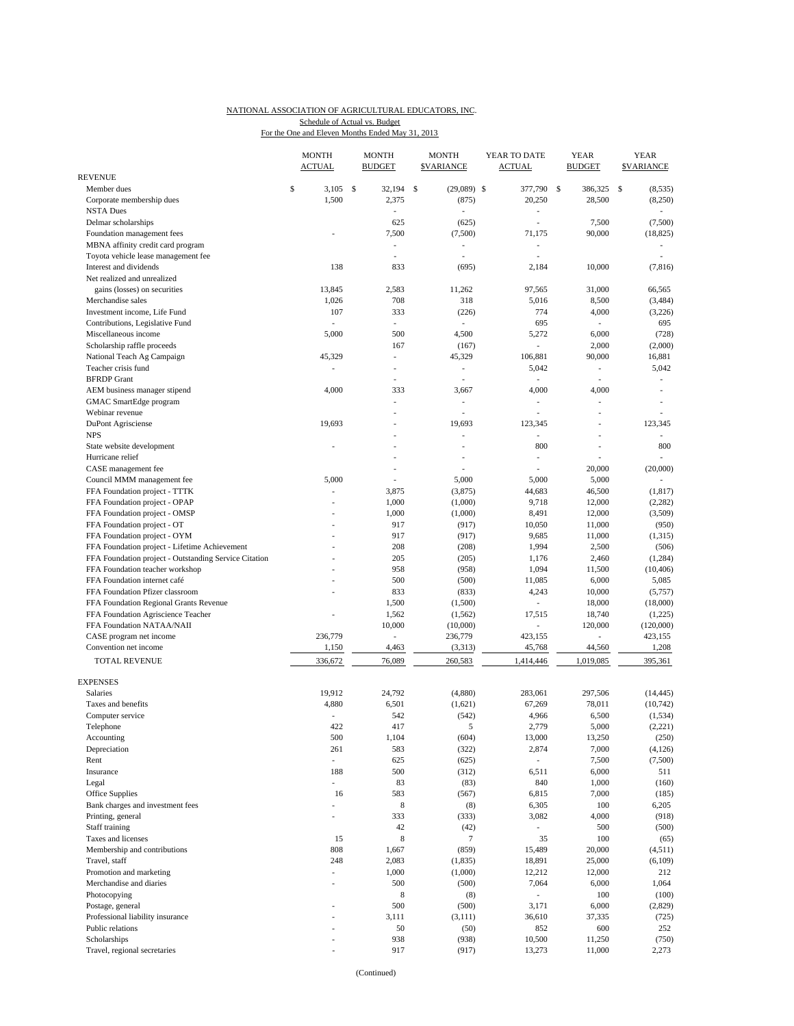#### NATIONAL ASSOCIATION OF AGRICULTURAL EDUCATORS, INC. For the One and Eleven Months Ended May 31, 2013 Schedule of Actual vs. Budget

|                                                                                          | <b>MONTH</b><br><b>ACTUAL</b> |               | <b>MONTH</b><br><b>BUDGET</b> | <b>MONTH</b><br><b><i>SVARIANCE</i></b> | YEAR TO DATE<br><b>ACTUAL</b>  | YEAR<br><b>BUDGET</b>    | YEAR<br><b><i>SVARIANCE</i></b> |
|------------------------------------------------------------------------------------------|-------------------------------|---------------|-------------------------------|-----------------------------------------|--------------------------------|--------------------------|---------------------------------|
| <b>REVENUE</b>                                                                           |                               |               |                               |                                         |                                |                          |                                 |
| Member dues                                                                              | \$<br>3,105                   | <sup>\$</sup> | 32,194                        | \$<br>$(29,089)$ \$                     | 377,790                        | \$<br>386,325            | \$<br>(8, 535)                  |
| Corporate membership dues                                                                | 1,500                         |               | 2,375                         | (875)                                   | 20,250                         | 28,500                   | (8,250)                         |
| <b>NSTA Dues</b>                                                                         |                               |               | L.                            |                                         | L,<br>L,                       |                          |                                 |
| Delmar scholarships                                                                      |                               |               | 625<br>7,500                  | (625)<br>(7,500)                        | 71,175                         | 7,500<br>90,000          | (7,500)<br>(18, 825)            |
| Foundation management fees<br>MBNA affinity credit card program                          |                               |               | $\overline{a}$                | $\overline{a}$                          | $\overline{a}$                 |                          | $\overline{a}$                  |
| Toyota vehicle lease management fee                                                      |                               |               | ÷,                            | $\overline{\phantom{a}}$                | ÷,                             |                          | $\overline{\phantom{a}}$        |
| Interest and dividends                                                                   | 138                           |               | 833                           | (695)                                   | 2,184                          | 10,000                   | (7, 816)                        |
| Net realized and unrealized                                                              |                               |               |                               |                                         |                                |                          |                                 |
| gains (losses) on securities                                                             | 13,845                        |               | 2,583                         | 11,262                                  | 97,565                         | 31,000                   | 66,565                          |
| Merchandise sales                                                                        | 1,026                         |               | 708                           | 318                                     | 5,016                          | 8,500                    | (3, 484)                        |
| Investment income, Life Fund                                                             | 107                           |               | 333                           | (226)                                   | 774                            | 4,000                    | (3,226)                         |
| Contributions, Legislative Fund                                                          | ٠                             |               | $\overline{\phantom{a}}$      | $\overline{a}$                          | 695                            | $\overline{\phantom{0}}$ | 695                             |
| Miscellaneous income                                                                     | 5,000                         |               | 500                           | 4,500                                   | 5,272                          | 6,000                    | (728)                           |
| Scholarship raffle proceeds                                                              |                               |               | 167                           | (167)                                   |                                | 2,000                    | (2,000)                         |
| National Teach Ag Campaign                                                               | 45,329                        |               | L.                            | 45,329                                  | 106,881                        | 90,000                   | 16,881                          |
| Teacher crisis fund                                                                      |                               |               | $\overline{a}$                | $\overline{a}$                          | 5,042                          | $\overline{\phantom{0}}$ | 5,042                           |
| <b>BFRDP</b> Grant                                                                       |                               |               | Ĭ.                            |                                         | $\sim$                         | L.                       | ÷,                              |
| AEM business manager stipend                                                             | 4,000                         |               | 333                           | 3,667                                   | 4,000                          | 4,000                    |                                 |
| GMAC SmartEdge program                                                                   |                               |               | Ĭ.                            | ä,                                      | L,                             | L,                       |                                 |
| Webinar revenue                                                                          |                               |               |                               |                                         | Ĭ.                             | $\overline{a}$           |                                 |
| DuPont Agrisciense                                                                       | 19,693                        |               | J.                            | 19,693                                  | 123,345                        | J.                       | 123,345                         |
| <b>NPS</b>                                                                               |                               |               | ä,                            | ٠                                       |                                | Ĭ.                       |                                 |
| State website development                                                                |                               |               |                               |                                         | 800                            |                          | 800                             |
| Hurricane relief                                                                         |                               |               |                               | ٠                                       | $\overline{a}$                 |                          |                                 |
| CASE management fee                                                                      |                               |               |                               |                                         |                                | 20,000                   | (20,000)                        |
| Council MMM management fee                                                               | 5,000                         |               | Ĭ.                            | 5,000                                   | 5,000                          | 5,000                    | ÷,                              |
| FFA Foundation project - TTTK                                                            | L.                            |               | 3,875                         | (3,875)                                 | 44,683                         | 46,500                   | (1, 817)                        |
| FFA Foundation project - OPAP                                                            |                               |               | 1,000                         | (1,000)                                 | 9,718                          | 12,000                   | (2, 282)                        |
| FFA Foundation project - OMSP                                                            |                               |               | 1,000                         | (1,000)                                 | 8,491                          | 12,000                   | (3,509)                         |
| FFA Foundation project - OT                                                              | $\overline{a}$                |               | 917                           | (917)                                   | 10,050                         | 11,000                   | (950)                           |
| FFA Foundation project - OYM                                                             |                               |               | 917                           | (917)                                   | 9,685                          | 11,000                   | (1,315)                         |
| FFA Foundation project - Lifetime Achievement                                            |                               |               | 208<br>205                    | (208)                                   | 1,994<br>1,176                 | 2,500                    | (506)                           |
| FFA Foundation project - Outstanding Service Citation<br>FFA Foundation teacher workshop |                               |               | 958                           | (205)<br>(958)                          | 1,094                          | 2,460<br>11,500          | (1, 284)<br>(10, 406)           |
| FFA Foundation internet café                                                             | $\overline{a}$                |               | 500                           | (500)                                   | 11,085                         | 6,000                    | 5,085                           |
| FFA Foundation Pfizer classroom                                                          |                               |               | 833                           | (833)                                   | 4,243                          | 10,000                   | (5,757)                         |
| FFA Foundation Regional Grants Revenue                                                   |                               |               | 1,500                         | (1,500)                                 | ÷.                             | 18,000                   | (18,000)                        |
| FFA Foundation Agriscience Teacher                                                       | i,                            |               | 1,562                         | (1, 562)                                | 17,515                         | 18,740                   | (1,225)                         |
| FFA Foundation NATAA/NAII                                                                |                               |               | 10,000                        | (10,000)                                |                                | 120,000                  | (120,000)                       |
| CASE program net income                                                                  | 236,779                       |               | ÷,                            | 236,779                                 | 423,155                        | $\frac{1}{2}$            | 423,155                         |
| Convention net income                                                                    | 1,150                         |               | 4,463                         | (3,313)                                 | 45,768                         | 44,560                   | 1,208                           |
| TOTAL REVENUE                                                                            | 336,672                       |               | 76,089                        | 260,583                                 | 1,414,446                      | 1,019,085                | 395,361                         |
|                                                                                          |                               |               |                               |                                         |                                |                          |                                 |
| <b>EXPENSES</b>                                                                          |                               |               |                               |                                         |                                |                          |                                 |
| Salaries                                                                                 | 19.912                        |               | 24,792                        | (4,880)                                 | 283,061                        | 297,506                  | (14, 445)                       |
| Taxes and benefits                                                                       | 4,880                         |               | 6,501                         | (1,621)                                 | 67,269                         | 78,011                   | (10, 742)                       |
| Computer service                                                                         | ÷,                            |               | 542                           | (542)                                   | 4,966                          | 6,500                    | (1, 534)                        |
| Telephone                                                                                | 422                           |               | 417                           | 5                                       | 2,779                          | 5,000                    | (2,221)                         |
| Accounting                                                                               | 500                           |               | 1,104                         | (604)                                   | 13,000                         | 13,250                   | (250)                           |
| Depreciation                                                                             | 261                           |               | 583                           | (322)                                   | 2,874                          | 7,000                    | (4, 126)                        |
| Rent                                                                                     | ÷,                            |               | 625                           | (625)                                   | $\mathcal{L}_{\mathcal{A}}$    | 7,500                    | (7,500)                         |
| Insurance                                                                                | 188                           |               | 500                           | (312)                                   | 6,511                          | 6,000                    | 511                             |
| Legal                                                                                    | $\overline{a}$                |               | 83                            | (83)                                    | 840                            | 1,000                    | (160)                           |
| Office Supplies                                                                          | 16                            |               | 583                           | (567)                                   | 6,815                          | 7,000                    | (185)                           |
| Bank charges and investment fees                                                         | ÷,                            |               | $\,$ 8 $\,$                   | (8)                                     | 6,305                          | 100                      | 6,205                           |
| Printing, general                                                                        | ÷.                            |               | 333                           | (333)                                   | 3,082                          | 4,000                    | (918)                           |
| Staff training<br>Taxes and licenses                                                     | 15                            |               | 42<br>$\,$ 8 $\,$             | (42)<br>$\tau$                          | $\overline{\phantom{a}}$<br>35 | 500<br>100               | (500)                           |
| Membership and contributions                                                             | 808                           |               | 1,667                         | (859)                                   | 15,489                         | 20,000                   | (65)<br>(4,511)                 |
| Travel, staff                                                                            | 248                           |               | 2,083                         | (1, 835)                                | 18,891                         | 25,000                   | (6,109)                         |
| Promotion and marketing                                                                  | ÷,                            |               | 1,000                         | (1,000)                                 | 12,212                         | 12,000                   | 212                             |
| Merchandise and diaries                                                                  | $\overline{a}$                |               | 500                           | (500)                                   | 7,064                          | 6,000                    | 1,064                           |
| Photocopying                                                                             |                               |               | 8                             | (8)                                     | $\overline{\phantom{a}}$       | 100                      | (100)                           |
| Postage, general                                                                         |                               |               | 500                           | (500)                                   | 3,171                          | 6,000                    | (2,829)                         |
| Professional liability insurance                                                         | $\overline{a}$                |               | 3,111                         | (3, 111)                                | 36,610                         | 37,335                   | (725)                           |
| Public relations                                                                         |                               |               | 50                            | (50)                                    | 852                            | 600                      | 252                             |
| Scholarships                                                                             | L,                            |               | 938                           | (938)                                   | 10,500                         | 11,250                   | (750)                           |
| Travel, regional secretaries                                                             | $\overline{a}$                |               | 917                           | (917)                                   | 13,273                         | 11,000                   | 2,273                           |
|                                                                                          |                               |               |                               |                                         |                                |                          |                                 |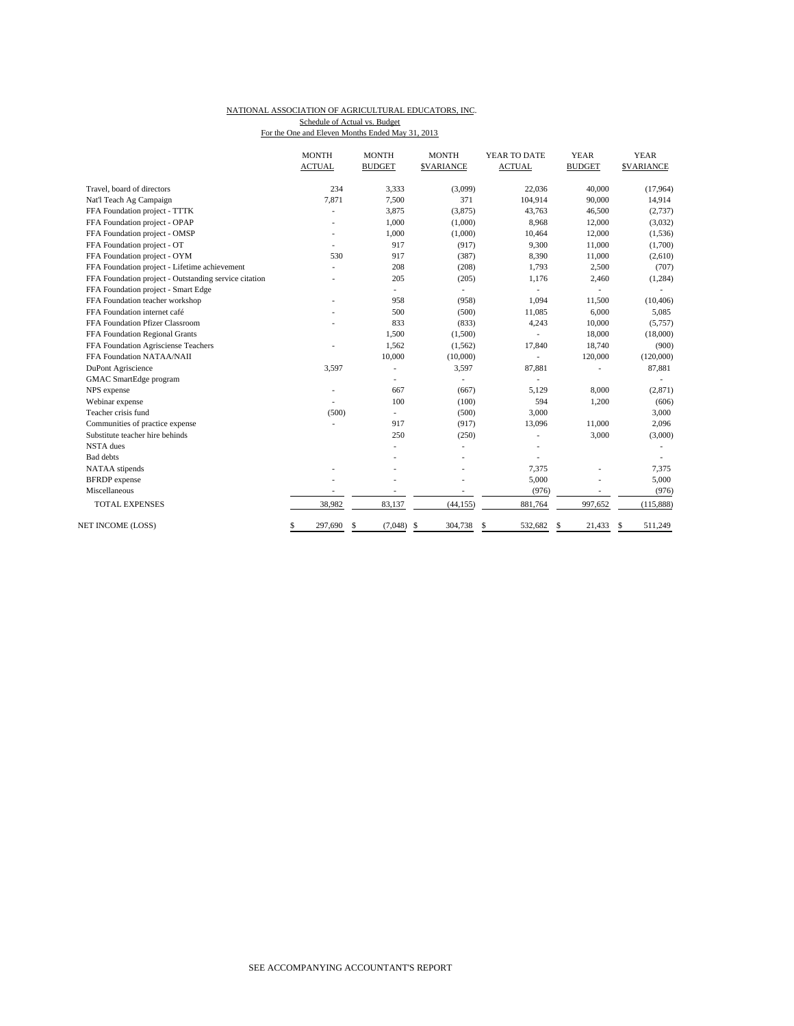#### NATIONAL ASSOCIATION OF AGRICULTURAL EDUCATORS, INC. For the One and Eleven Months Ended May 31, 2013 Schedule of Actual vs. Budget

|                                                       | <b>MONTH</b>  | <b>MONTH</b>             | <b>MONTH</b>             | YEAR TO DATE  | <b>YEAR</b>    | <b>YEAR</b>      |
|-------------------------------------------------------|---------------|--------------------------|--------------------------|---------------|----------------|------------------|
|                                                       | <b>ACTUAL</b> | <b>BUDGET</b>            | <b>\$VARIANCE</b>        | <b>ACTUAL</b> | <b>BUDGET</b>  | <b>SVARIANCE</b> |
| Travel, board of directors                            | 234           | 3,333                    | (3,099)                  | 22,036        | 40,000         | (17, 964)        |
| Nat'l Teach Ag Campaign                               | 7,871         | 7,500                    | 371                      | 104,914       | 90,000         | 14,914           |
| FFA Foundation project - TTTK                         |               | 3,875                    | (3,875)                  | 43,763        | 46,500         | (2,737)          |
| FFA Foundation project - OPAP                         |               | 1,000                    | (1,000)                  | 8,968         | 12,000         | (3,032)          |
| FFA Foundation project - OMSP                         |               | 1,000                    | (1,000)                  | 10,464        | 12,000         | (1, 536)         |
| FFA Foundation project - OT                           |               | 917                      | (917)                    | 9,300         | 11,000         | (1,700)          |
| FFA Foundation project - OYM                          | 530           | 917                      | (387)                    | 8,390         | 11,000         | (2,610)          |
| FFA Foundation project - Lifetime achievement         |               | 208                      | (208)                    | 1,793         | 2,500          | (707)            |
| FFA Foundation project - Outstanding service citation |               | 205                      | (205)                    | 1,176         | 2,460          | (1, 284)         |
| FFA Foundation project - Smart Edge                   |               | $\overline{\phantom{0}}$ | $\overline{\phantom{a}}$ |               |                |                  |
| FFA Foundation teacher workshop                       |               | 958                      | (958)                    | 1,094         | 11,500         | (10, 406)        |
| FFA Foundation internet café                          |               | 500                      | (500)                    | 11,085        | 6,000          | 5,085            |
| FFA Foundation Pfizer Classroom                       |               | 833                      | (833)                    | 4,243         | 10,000         | (5,757)          |
| FFA Foundation Regional Grants                        |               | 1,500                    | (1,500)                  |               | 18,000         | (18,000)         |
| FFA Foundation Agrisciense Teachers                   |               | 1,562                    | (1, 562)                 | 17,840        | 18,740         | (900)            |
| FFA Foundation NATAA/NAII                             |               | 10,000                   | (10,000)                 | ÷,            | 120,000        | (120,000)        |
| DuPont Agriscience                                    | 3,597         | ÷,                       | 3,597                    | 87,881        |                | 87,881           |
| GMAC SmartEdge program                                |               |                          |                          |               |                |                  |
| NPS expense                                           |               | 667                      | (667)                    | 5,129         | 8,000          | (2,871)          |
| Webinar expense                                       |               | 100                      | (100)                    | 594           | 1,200          | (606)            |
| Teacher crisis fund                                   | (500)         | $\overline{\phantom{0}}$ | (500)                    | 3,000         |                | 3,000            |
| Communities of practice expense                       |               | 917                      | (917)                    | 13,096        | 11,000         | 2,096            |
| Substitute teacher hire behinds                       |               | 250                      | (250)                    |               | 3,000          | (3,000)          |
| <b>NSTA</b> dues                                      |               |                          |                          |               |                |                  |
| <b>Bad</b> debts                                      |               |                          |                          |               |                |                  |
| NATAA stipends                                        |               |                          |                          | 7,375         | Ĭ.             | 7,375            |
| <b>BFRDP</b> expense                                  |               |                          |                          | 5,000         |                | 5,000            |
| Miscellaneous                                         |               | ٠                        |                          | (976)         | $\overline{a}$ | (976)            |
| <b>TOTAL EXPENSES</b>                                 | 38,982        | 83,137                   | (44, 155)                | 881,764       | 997,652        | (115, 888)       |
| <b>NET INCOME (LOSS)</b>                              | \$<br>297,690 | \$<br>(7,048)            | <sup>\$</sup><br>304,738 | 532,682<br>\$ | \$<br>21,433   | -S<br>511,249    |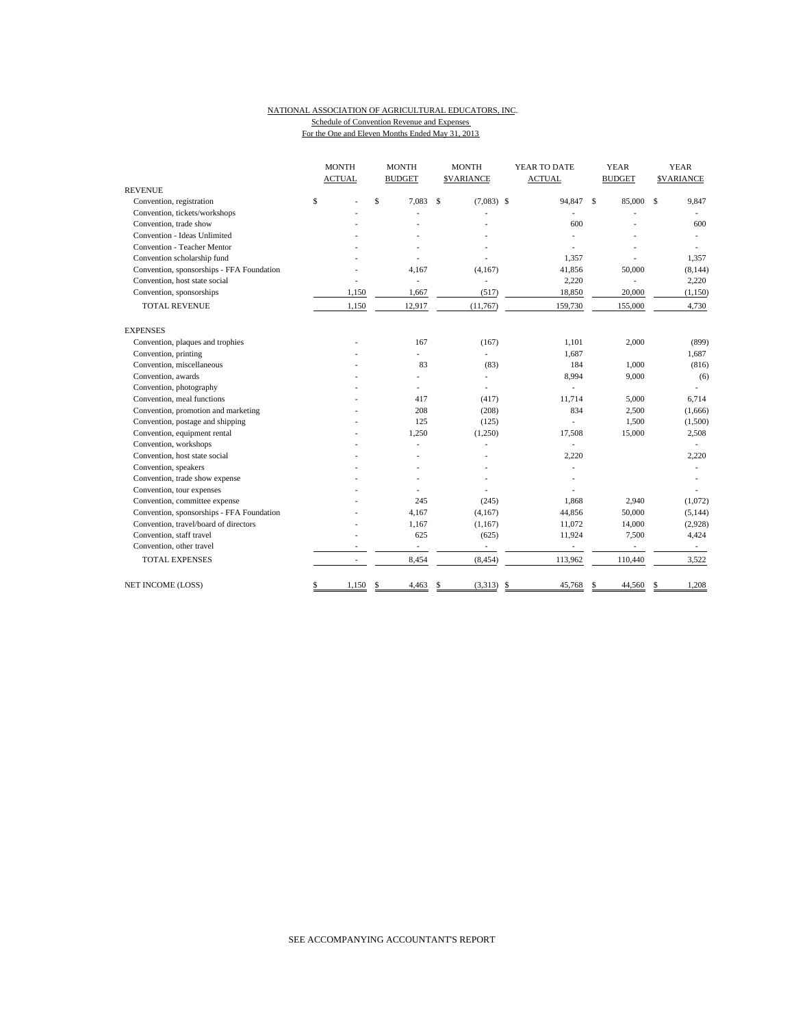#### NATIONAL ASSOCIATION OF AGRICULTURAL EDUCATORS, INC. Schedule of Convention Revenue and Expenses For the One and Eleven Months Ended May 31, 2013

|                                           |              | <b>MONTH</b>             |    | <b>MONTH</b>             |             | <b>MONTH</b>     |  | YEAR TO DATE             |   | <b>YEAR</b>              |      | <b>YEAR</b>      |
|-------------------------------------------|--------------|--------------------------|----|--------------------------|-------------|------------------|--|--------------------------|---|--------------------------|------|------------------|
|                                           |              | <b>ACTUAL</b>            |    | <b>BUDGET</b>            |             | <b>SVARIANCE</b> |  | <b>ACTUAL</b>            |   | <b>BUDGET</b>            |      | <b>SVARIANCE</b> |
| <b>REVENUE</b>                            |              |                          |    |                          |             |                  |  |                          |   |                          |      |                  |
| Convention, registration                  | $\mathbb{S}$ |                          | \$ | 7.083                    | $\mathbf S$ | $(7,083)$ \$     |  | 94,847 \$                |   | 85,000                   | - \$ | 9,847            |
| Convention, tickets/workshops             |              |                          |    |                          |             |                  |  |                          |   |                          |      |                  |
| Convention, trade show                    |              |                          |    |                          |             |                  |  | 600                      |   |                          |      | 600              |
| Convention - Ideas Unlimited              |              |                          |    |                          |             |                  |  |                          |   |                          |      |                  |
| <b>Convention - Teacher Mentor</b>        |              |                          |    |                          |             |                  |  |                          |   |                          |      |                  |
| Convention scholarship fund               |              |                          |    |                          |             |                  |  | 1,357                    |   |                          |      | 1,357            |
| Convention, sponsorships - FFA Foundation |              |                          |    | 4,167                    |             | (4,167)          |  | 41,856                   |   | 50,000                   |      | (8, 144)         |
| Convention, host state social             |              |                          |    | ä,                       |             | ÷,               |  | 2,220                    |   |                          |      | 2,220            |
| Convention, sponsorships                  |              | 1,150                    |    | 1,667                    |             | (517)            |  | 18,850                   |   | 20,000                   |      | (1, 150)         |
| <b>TOTAL REVENUE</b>                      |              | 1,150                    |    | 12,917                   |             | (11,767)         |  | 159,730                  |   | 155,000                  |      | 4,730            |
| <b>EXPENSES</b>                           |              |                          |    |                          |             |                  |  |                          |   |                          |      |                  |
| Convention, plaques and trophies          |              |                          |    | 167                      |             | (167)            |  | 1.101                    |   | 2,000                    |      | (899)            |
| Convention, printing                      |              |                          |    | $\overline{\phantom{a}}$ |             | $\overline{a}$   |  | 1,687                    |   |                          |      | 1,687            |
| Convention, miscellaneous                 |              |                          |    | 83                       |             | (83)             |  | 184                      |   | 1,000                    |      | (816)            |
| Convention, awards                        |              |                          |    |                          |             | L.               |  | 8,994                    |   | 9,000                    |      | (6)              |
| Convention, photography                   |              |                          |    |                          |             | ä,               |  |                          |   |                          |      |                  |
| Convention, meal functions                |              |                          |    | 417                      |             | (417)            |  | 11,714                   |   | 5,000                    |      | 6,714            |
| Convention, promotion and marketing       |              |                          |    | 208                      |             | (208)            |  | 834                      |   | 2,500                    |      | (1,666)          |
| Convention, postage and shipping          |              |                          |    | 125                      |             | (125)            |  |                          |   | 1,500                    |      | (1,500)          |
| Convention, equipment rental              |              |                          |    | 1,250                    |             | (1,250)          |  | 17,508                   |   | 15,000                   |      | 2,508            |
| Convention, workshops                     |              |                          |    |                          |             |                  |  |                          |   |                          |      |                  |
| Convention, host state social             |              |                          |    |                          |             |                  |  | 2,220                    |   |                          |      | 2,220            |
| Convention, speakers                      |              |                          |    |                          |             |                  |  |                          |   |                          |      |                  |
| Convention, trade show expense            |              |                          |    |                          |             |                  |  |                          |   |                          |      |                  |
| Convention, tour expenses                 |              |                          |    |                          |             |                  |  |                          |   |                          |      |                  |
| Convention, committee expense             |              |                          |    | 245                      |             | (245)            |  | 1.868                    |   | 2,940                    |      | (1,072)          |
| Convention, sponsorships - FFA Foundation |              |                          |    | 4,167                    |             | (4,167)          |  | 44,856                   |   | 50,000                   |      | (5, 144)         |
| Convention, travel/board of directors     |              |                          |    | 1,167                    |             | (1,167)          |  | 11,072                   |   | 14,000                   |      | (2,928)          |
| Convention, staff travel                  |              |                          |    | 625                      |             | (625)            |  | 11,924                   |   | 7,500                    |      | 4,424            |
| Convention, other travel                  |              |                          |    | $\overline{\phantom{a}}$ |             | ÷                |  | $\overline{\phantom{a}}$ |   | $\overline{\phantom{a}}$ |      | $\sim$           |
| <b>TOTAL EXPENSES</b>                     |              | $\overline{\phantom{a}}$ |    | 8,454                    |             | (8, 454)         |  | 113,962                  |   | 110,440                  |      | 3,522            |
| <b>NET INCOME (LOSS)</b>                  | \$           | 1,150                    | \$ | 4,463                    | \$          | $(3,313)$ \$     |  | 45,768                   | S | 44,560                   | S    | 1,208            |